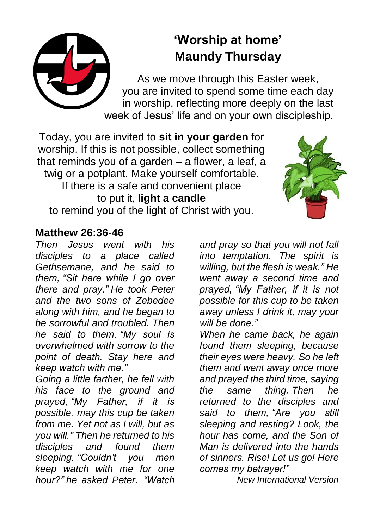## **'Worship at home' Maundy Thursday**

As we move through this Easter week, you are invited to spend some time each day in worship, reflecting more deeply on the last week of Jesus' life and on your own discipleship.

Today, you are invited to **sit in your garden** for worship. If this is not possible, collect something that reminds you of a garden – a flower, a leaf, a twig or a potplant. Make yourself comfortable. If there is a safe and convenient place to put it, l**ight a candle** to remind you of the light of Christ with you.



## **Matthew 26:36-46**

*Then Jesus went with his disciples to a place called Gethsemane, and he said to them, "Sit here while I go over there and pray." He took Peter and the two sons of Zebedee along with him, and he began to be sorrowful and troubled. Then he said to them, "My soul is overwhelmed with sorrow to the point of death. Stay here and keep watch with me."*

*Going a little farther, he fell with his face to the ground and prayed, "My Father, if it is possible, may this cup be taken from me. Yet not as I will, but as you will." Then he returned to his disciples and found them sleeping. "Couldn't you men keep watch with me for one hour?" he asked Peter. "Watch* 

*and pray so that you will not fall into temptation. The spirit is willing, but the flesh is weak." He went away a second time and prayed, "My Father, if it is not possible for this cup to be taken away unless I drink it, may your will be done."*

*When he came back, he again found them sleeping, because their eyes were heavy. So he left them and went away once more and prayed the third time, saying the same thing. Then he returned to the disciples and said to them, "Are you still sleeping and resting? Look, the hour has come, and the Son of Man is delivered into the hands of sinners. Rise! Let us go! Here comes my betrayer!"* 

*New International Version*